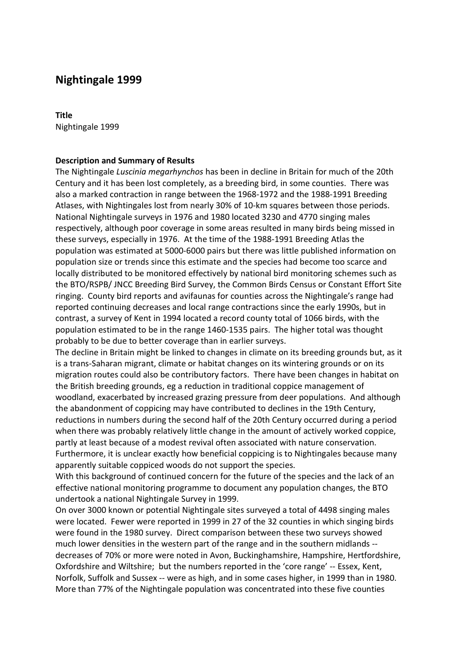# **Nightingale 1999**

# **Title**

Nightingale 1999

## **Description and Summary of Results**

The Nightingale *Luscinia megarhynchos* has been in decline in Britain for much of the 20th Century and it has been lost completely, as a breeding bird, in some counties. There was also a marked contraction in range between the 1968-1972 and the 1988-1991 Breeding Atlases, with Nightingales lost from nearly 30% of 10-km squares between those periods. National Nightingale surveys in 1976 and 1980 located 3230 and 4770 singing males respectively, although poor coverage in some areas resulted in many birds being missed in these surveys, especially in 1976. At the time of the 1988-1991 Breeding Atlas the population was estimated at 5000-6000 pairs but there was little published information on population size or trends since this estimate and the species had become too scarce and locally distributed to be monitored effectively by national bird monitoring schemes such as the BTO/RSPB/ JNCC Breeding Bird Survey, the Common Birds Census or Constant Effort Site ringing. County bird reports and avifaunas for counties across the Nightingale's range had reported continuing decreases and local range contractions since the early 1990s, but in contrast, a survey of Kent in 1994 located a record county total of 1066 birds, with the population estimated to be in the range 1460-1535 pairs. The higher total was thought probably to be due to better coverage than in earlier surveys.

The decline in Britain might be linked to changes in climate on its breeding grounds but, as it is a trans-Saharan migrant, climate or habitat changes on its wintering grounds or on its migration routes could also be contributory factors. There have been changes in habitat on the British breeding grounds, eg a reduction in traditional coppice management of woodland, exacerbated by increased grazing pressure from deer populations. And although the abandonment of coppicing may have contributed to declines in the 19th Century, reductions in numbers during the second half of the 20th Century occurred during a period when there was probably relatively little change in the amount of actively worked coppice, partly at least because of a modest revival often associated with nature conservation. Furthermore, it is unclear exactly how beneficial coppicing is to Nightingales because many apparently suitable coppiced woods do not support the species.

With this background of continued concern for the future of the species and the lack of an effective national monitoring programme to document any population changes, the BTO undertook a national Nightingale Survey in 1999.

On over 3000 known or potential Nightingale sites surveyed a total of 4498 singing males were located. Fewer were reported in 1999 in 27 of the 32 counties in which singing birds were found in the 1980 survey. Direct comparison between these two surveys showed much lower densities in the western part of the range and in the southern midlands - decreases of 70% or more were noted in Avon, Buckinghamshire, Hampshire, Hertfordshire, Oxfordshire and Wiltshire; but the numbers reported in the 'core range' -- Essex, Kent, Norfolk, Suffolk and Sussex -- were as high, and in some cases higher, in 1999 than in 1980. More than 77% of the Nightingale population was concentrated into these five counties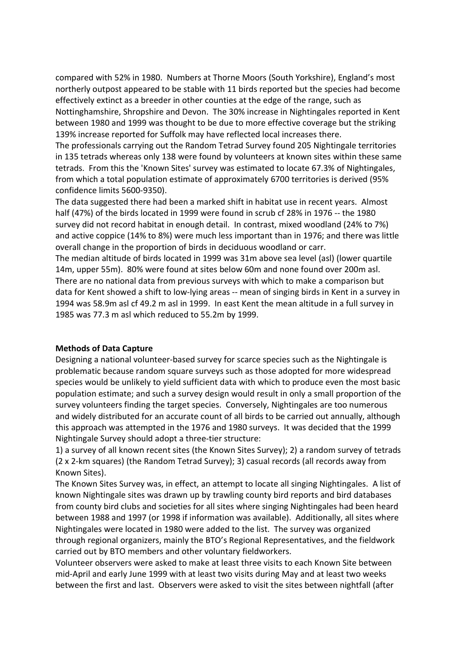compared with 52% in 1980. Numbers at Thorne Moors (South Yorkshire), England's most northerly outpost appeared to be stable with 11 birds reported but the species had become effectively extinct as a breeder in other counties at the edge of the range, such as Nottinghamshire, Shropshire and Devon. The 30% increase in Nightingales reported in Kent between 1980 and 1999 was thought to be due to more effective coverage but the striking 139% increase reported for Suffolk may have reflected local increases there.

The professionals carrying out the Random Tetrad Survey found 205 Nightingale territories in 135 tetrads whereas only 138 were found by volunteers at known sites within these same tetrads. From this the 'Known Sites' survey was estimated to locate 67.3% of Nightingales, from which a total population estimate of approximately 6700 territories is derived (95% confidence limits 5600-9350).

The data suggested there had been a marked shift in habitat use in recent years. Almost half (47%) of the birds located in 1999 were found in scrub cf 28% in 1976 -- the 1980 survey did not record habitat in enough detail. In contrast, mixed woodland (24% to 7%) and active coppice (14% to 8%) were much less important than in 1976; and there was little overall change in the proportion of birds in deciduous woodland or carr.

The median altitude of birds located in 1999 was 31m above sea level (asl) (lower quartile 14m, upper 55m). 80% were found at sites below 60m and none found over 200m asl. There are no national data from previous surveys with which to make a comparison but data for Kent showed a shift to low-lying areas -- mean of singing birds in Kent in a survey in 1994 was 58.9m asl cf 49.2 m asl in 1999. In east Kent the mean altitude in a full survey in 1985 was 77.3 m asl which reduced to 55.2m by 1999.

# **Methods of Data Capture**

Designing a national volunteer-based survey for scarce species such as the Nightingale is problematic because random square surveys such as those adopted for more widespread species would be unlikely to yield sufficient data with which to produce even the most basic population estimate; and such a survey design would result in only a small proportion of the survey volunteers finding the target species. Conversely, Nightingales are too numerous and widely distributed for an accurate count of all birds to be carried out annually, although this approach was attempted in the 1976 and 1980 surveys. It was decided that the 1999 Nightingale Survey should adopt a three-tier structure:

1) a survey of all known recent sites (the Known Sites Survey); 2) a random survey of tetrads (2 x 2-km squares) (the Random Tetrad Survey); 3) casual records (all records away from Known Sites).

The Known Sites Survey was, in effect, an attempt to locate all singing Nightingales. A list of known Nightingale sites was drawn up by trawling county bird reports and bird databases from county bird clubs and societies for all sites where singing Nightingales had been heard between 1988 and 1997 (or 1998 if information was available). Additionally, all sites where Nightingales were located in 1980 were added to the list. The survey was organized through regional organizers, mainly the BTO's Regional Representatives, and the fieldwork carried out by BTO members and other voluntary fieldworkers.

Volunteer observers were asked to make at least three visits to each Known Site between mid-April and early June 1999 with at least two visits during May and at least two weeks between the first and last. Observers were asked to visit the sites between nightfall (after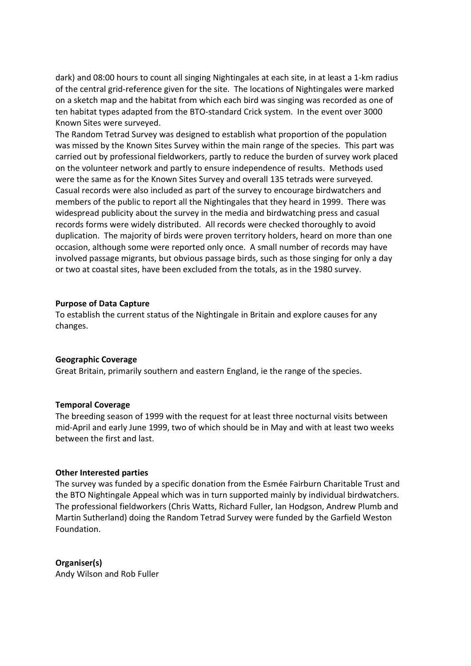dark) and 08:00 hours to count all singing Nightingales at each site, in at least a 1-km radius of the central grid-reference given for the site. The locations of Nightingales were marked on a sketch map and the habitat from which each bird was singing was recorded as one of ten habitat types adapted from the BTO-standard Crick system. In the event over 3000 Known Sites were surveyed.

The Random Tetrad Survey was designed to establish what proportion of the population was missed by the Known Sites Survey within the main range of the species. This part was carried out by professional fieldworkers, partly to reduce the burden of survey work placed on the volunteer network and partly to ensure independence of results. Methods used were the same as for the Known Sites Survey and overall 135 tetrads were surveyed. Casual records were also included as part of the survey to encourage birdwatchers and members of the public to report all the Nightingales that they heard in 1999. There was widespread publicity about the survey in the media and birdwatching press and casual records forms were widely distributed. All records were checked thoroughly to avoid duplication. The majority of birds were proven territory holders, heard on more than one occasion, although some were reported only once. A small number of records may have involved passage migrants, but obvious passage birds, such as those singing for only a day or two at coastal sites, have been excluded from the totals, as in the 1980 survey.

#### **Purpose of Data Capture**

To establish the current status of the Nightingale in Britain and explore causes for any changes.

#### **Geographic Coverage**

Great Britain, primarily southern and eastern England, ie the range of the species.

#### **Temporal Coverage**

The breeding season of 1999 with the request for at least three nocturnal visits between mid-April and early June 1999, two of which should be in May and with at least two weeks between the first and last.

#### **Other Interested parties**

The survey was funded by a specific donation from the Esmée Fairburn Charitable Trust and the BTO Nightingale Appeal which was in turn supported mainly by individual birdwatchers. The professional fieldworkers (Chris Watts, Richard Fuller, Ian Hodgson, Andrew Plumb and Martin Sutherland) doing the Random Tetrad Survey were funded by the Garfield Weston Foundation.

# **Organiser(s)**

Andy Wilson and Rob Fuller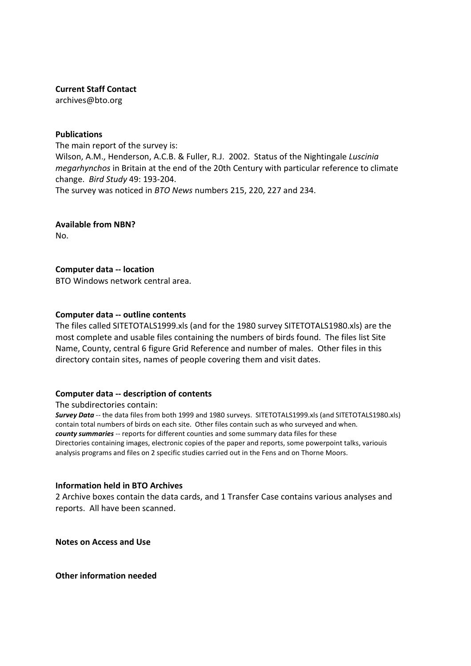### **Current Staff Contact**

archives@bto.org

### **Publications**

The main report of the survey is: Wilson, A.M., Henderson, A.C.B. & Fuller, R.J. 2002. Status of the Nightingale *Luscinia megarhynchos* in Britain at the end of the 20th Century with particular reference to climate change. *Bird Study* 49: 193-204. The survey was noticed in *BTO News* numbers 215, 220, 227 and 234.

**Available from NBN?**

No.

# **Computer data -- location**

BTO Windows network central area.

# **Computer data -- outline contents**

The files called SITETOTALS1999.xls (and for the 1980 survey SITETOTALS1980.xls) are the most complete and usable files containing the numbers of birds found. The files list Site Name, County, central 6 figure Grid Reference and number of males. Other files in this directory contain sites, names of people covering them and visit dates.

# **Computer data -- description of contents**

The subdirectories contain:

*Survey Data* -- the data files from both 1999 and 1980 surveys. SITETOTALS1999.xls (and SITETOTALS1980.xls) contain total numbers of birds on each site. Other files contain such as who surveyed and when. *county summaries* -- reports for different counties and some summary data files for these Directories containing images, electronic copies of the paper and reports, some powerpoint talks, variouis analysis programs and files on 2 specific studies carried out in the Fens and on Thorne Moors.

# **Information held in BTO Archives**

2 Archive boxes contain the data cards, and 1 Transfer Case contains various analyses and reports. All have been scanned.

**Notes on Access and Use**

**Other information needed**